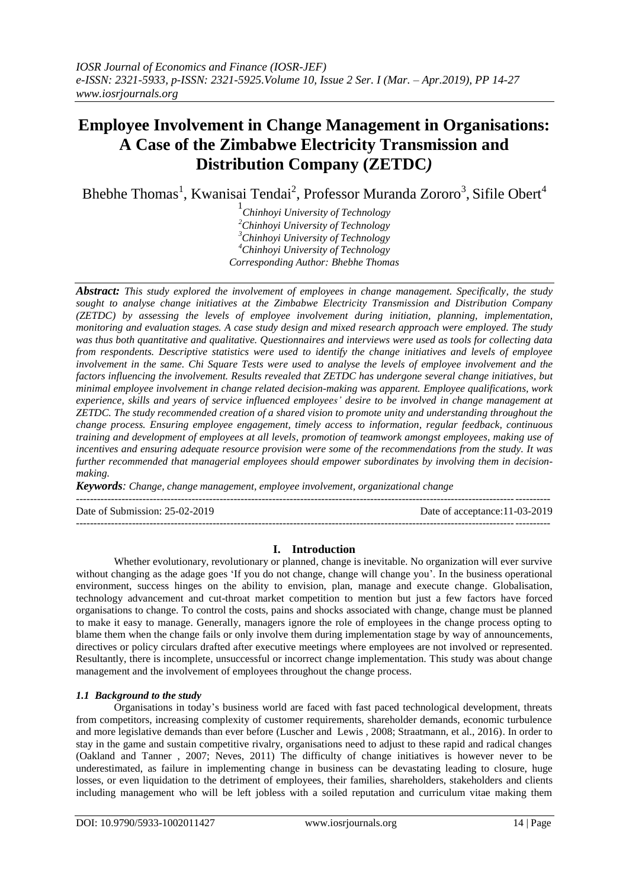# **Employee Involvement in Change Management in Organisations: A Case of the Zimbabwe Electricity Transmission and Distribution Company (ZETDC***)*

Bhebhe Thomas<sup>1</sup>, Kwanisai Tendai<sup>2</sup>, Professor Muranda Zororo<sup>3</sup>, Sifile Obert<sup>4</sup>

 *Chinhoyi University of Technology Chinhoyi University of Technology Chinhoyi University of Technology Chinhoyi University of Technology Corresponding Author: Bhebhe Thomas*

*Abstract: This study explored the involvement of employees in change management. Specifically, the study sought to analyse change initiatives at the Zimbabwe Electricity Transmission and Distribution Company (ZETDC) by assessing the levels of employee involvement during initiation, planning, implementation, monitoring and evaluation stages. A case study design and mixed research approach were employed. The study was thus both quantitative and qualitative. Questionnaires and interviews were used as tools for collecting data from respondents. Descriptive statistics were used to identify the change initiatives and levels of employee involvement in the same. Chi Square Tests were used to analyse the levels of employee involvement and the factors influencing the involvement. Results revealed that ZETDC has undergone several change initiatives, but minimal employee involvement in change related decision-making was apparent. Employee qualifications, work experience, skills and years of service influenced employees' desire to be involved in change management at ZETDC. The study recommended creation of a shared vision to promote unity and understanding throughout the change process. Ensuring employee engagement, timely access to information, regular feedback, continuous training and development of employees at all levels, promotion of teamwork amongst employees, making use of incentives and ensuring adequate resource provision were some of the recommendations from the study. It was further recommended that managerial employees should empower subordinates by involving them in decisionmaking.*

*Keywords: Change, change management, employee involvement, organizational change*

---------------------------------------------------------------------------------------------------------------------------------------

Date of Submission: 25-02-2019 Date of acceptance:11-03-2019

# $-1-\frac{1}{2}$ **I. Introduction**

Whether evolutionary, revolutionary or planned, change is inevitable. No organization will ever survive without changing as the adage goes "If you do not change, change will change you". In the business operational environment, success hinges on the ability to envision, plan, manage and execute change. Globalisation, technology advancement and cut-throat market competition to mention but just a few factors have forced organisations to change. To control the costs, pains and shocks associated with change, change must be planned to make it easy to manage. Generally, managers ignore the role of employees in the change process opting to blame them when the change fails or only involve them during implementation stage by way of announcements, directives or policy circulars drafted after executive meetings where employees are not involved or represented. Resultantly, there is incomplete, unsuccessful or incorrect change implementation. This study was about change management and the involvement of employees throughout the change process.

## *1.1 Background to the study*

Organisations in today"s business world are faced with fast paced technological development, threats from competitors, increasing complexity of customer requirements, shareholder demands, economic turbulence and more legislative demands than ever before (Luscher and Lewis , 2008; Straatmann, et al., 2016). In order to stay in the game and sustain competitive rivalry, organisations need to adjust to these rapid and radical changes (Oakland and Tanner , 2007; Neves, 2011) The difficulty of change initiatives is however never to be underestimated, as failure in implementing change in business can be devastating leading to closure, huge losses, or even liquidation to the detriment of employees, their families, shareholders, stakeholders and clients including management who will be left jobless with a soiled reputation and curriculum vitae making them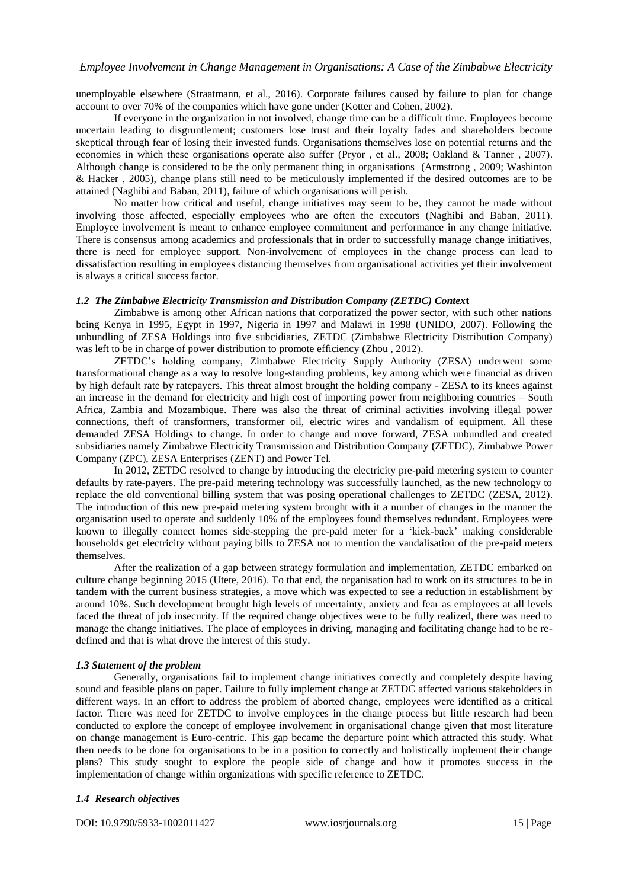unemployable elsewhere (Straatmann, et al., 2016). Corporate failures caused by failure to plan for change account to over 70% of the companies which have gone under (Kotter and Cohen, 2002).

If everyone in the organization in not involved, change time can be a difficult time. Employees become uncertain leading to disgruntlement; customers lose trust and their loyalty fades and shareholders become skeptical through fear of losing their invested funds. Organisations themselves lose on potential returns and the economies in which these organisations operate also suffer (Pryor , et al., 2008; Oakland & Tanner , 2007). Although change is considered to be the only permanent thing in organisations (Armstrong , 2009; Washinton & Hacker , 2005), change plans still need to be meticulously implemented if the desired outcomes are to be attained (Naghibi and Baban, 2011), failure of which organisations will perish.

No matter how critical and useful, change initiatives may seem to be, they cannot be made without involving those affected, especially employees who are often the executors (Naghibi and Baban, 2011). Employee involvement is meant to enhance employee commitment and performance in any change initiative. There is consensus among academics and professionals that in order to successfully manage change initiatives, there is need for employee support. Non-involvement of employees in the change process can lead to dissatisfaction resulting in employees distancing themselves from organisational activities yet their involvement is always a critical success factor.

## *1.2 The Zimbabwe Electricity Transmission and Distribution Company (ZETDC) Contex***t**

Zimbabwe is among other African nations that corporatized the power sector, with such other nations being Kenya in 1995, Egypt in 1997, Nigeria in 1997 and Malawi in 1998 (UNIDO, 2007). Following the unbundling of ZESA Holdings into five subcidiaries, ZETDC (Zimbabwe Electricity Distribution Company) was left to be in charge of power distribution to promote efficiency (Zhou , 2012).

ZETDC"s holding company, Zimbabwe Electricity Supply Authority (ZESA) underwent some transformational change as a way to resolve long-standing problems, key among which were financial as driven by high default rate by ratepayers. This threat almost brought the holding company - ZESA to its knees against an increase in the demand for electricity and high cost of importing power from neighboring countries – South Africa, Zambia and Mozambique. There was also the threat of criminal activities involving illegal power connections, theft of transformers, transformer oil, electric wires and vandalism of equipment. All these demanded ZESA Holdings to change. In order to change and move forward, ZESA unbundled and created subsidiaries namely Zimbabwe Electricity Transmission and Distribution Company **(**ZETDC), Zimbabwe Power Company (ZPC), ZESA Enterprises (ZENT) and Power Tel.

In 2012, ZETDC resolved to change by introducing the electricity pre-paid metering system to counter defaults by rate-payers. The pre-paid metering technology was successfully launched, as the new technology to replace the old conventional billing system that was posing operational challenges to ZETDC (ZESA, 2012). The introduction of this new pre-paid metering system brought with it a number of changes in the manner the organisation used to operate and suddenly 10% of the employees found themselves redundant. Employees were known to illegally connect homes side-stepping the pre-paid meter for a "kick-back" making considerable households get electricity without paying bills to ZESA not to mention the vandalisation of the pre-paid meters themselves.

After the realization of a gap between strategy formulation and implementation, ZETDC embarked on culture change beginning 2015 (Utete, 2016). To that end, the organisation had to work on its structures to be in tandem with the current business strategies, a move which was expected to see a reduction in establishment by around 10%. Such development brought high levels of uncertainty, anxiety and fear as employees at all levels faced the threat of job insecurity. If the required change objectives were to be fully realized, there was need to manage the change initiatives. The place of employees in driving, managing and facilitating change had to be redefined and that is what drove the interest of this study.

## *1.3 Statement of the problem*

Generally, organisations fail to implement change initiatives correctly and completely despite having sound and feasible plans on paper. Failure to fully implement change at ZETDC affected various stakeholders in different ways. In an effort to address the problem of aborted change, employees were identified as a critical factor. There was need for ZETDC to involve employees in the change process but little research had been conducted to explore the concept of employee involvement in organisational change given that most literature on change management is Euro-centric. This gap became the departure point which attracted this study. What then needs to be done for organisations to be in a position to correctly and holistically implement their change plans? This study sought to explore the people side of change and how it promotes success in the implementation of change within organizations with specific reference to ZETDC.

## *1.4 Research objectives*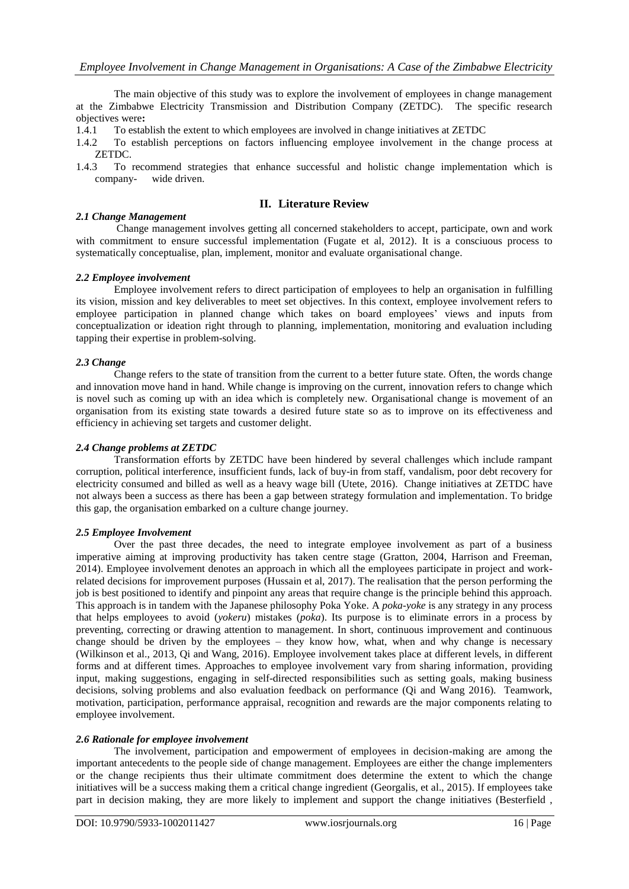The main objective of this study was to explore the involvement of employees in change management at the Zimbabwe Electricity Transmission and Distribution Company (ZETDC). The specific research objectives were**:**

- 1.4.1 To establish the extent to which employees are involved in change initiatives at ZETDC
- 1.4.2 To establish perceptions on factors influencing employee involvement in the change process at ZETDC.
- 1.4.3 To recommend strategies that enhance successful and holistic change implementation which is company- wide driven.

## **II. Literature Review**

#### *2.1 Change Management*

Change management involves getting all concerned stakeholders to accept, participate, own and work with commitment to ensure successful implementation (Fugate et al, 2012). It is a consciuous process to systematically conceptualise, plan, implement, monitor and evaluate organisational change.

#### *2.2 Employee involvement*

Employee involvement refers to direct participation of employees to help an organisation in fulfilling its vision, mission and key deliverables to meet set objectives. In this context, employee involvement refers to employee participation in planned change which takes on board employees' views and inputs from conceptualization or ideation right through to planning, implementation, monitoring and evaluation including tapping their expertise in problem-solving.

#### *2.3 Change*

Change refers to the state of transition from the current to a better future state. Often, the words change and innovation move hand in hand. While change is improving on the current, innovation refers to change which is novel such as coming up with an idea which is completely new. Organisational change is movement of an organisation from its existing state towards a desired future state so as to improve on its effectiveness and efficiency in achieving set targets and customer delight.

## *2.4 Change problems at ZETDC*

Transformation efforts by ZETDC have been hindered by several challenges which include rampant corruption, political interference, insufficient funds, lack of buy-in from staff, vandalism, poor debt recovery for electricity consumed and billed as well as a heavy wage bill (Utete, 2016). Change initiatives at ZETDC have not always been a success as there has been a gap between strategy formulation and implementation. To bridge this gap, the organisation embarked on a culture change journey.

#### *2.5 Employee Involvement*

Over the past three decades, the need to integrate employee involvement as part of a business imperative aiming at improving productivity has taken centre stage (Gratton, 2004, Harrison and Freeman, 2014). Employee involvement denotes an approach in which all the employees participate in project and workrelated decisions for improvement purposes (Hussain et al, 2017). The realisation that the person performing the job is best positioned to identify and pinpoint any areas that require change is the principle behind this approach. This approach is in tandem with the Japanese philosophy Poka Yoke. A *poka-yoke* is any strategy in any process that helps employees to avoid (*yokeru*) mistakes (*poka*). Its purpose is to eliminate errors in a process by preventing, correcting or drawing attention to management. In short, continuous improvement and continuous change should be driven by the employees – they know how, what, when and why change is necessary (Wilkinson et al., 2013, Qi and Wang, 2016). Employee involvement takes place at different levels, in different forms and at different times. Approaches to employee involvement vary from sharing information, providing input, making suggestions, engaging in self-directed responsibilities such as setting goals, making business decisions, solving problems and also evaluation feedback on performance (Qi and Wang 2016). Teamwork, motivation, participation, performance appraisal, recognition and rewards are the major components relating to employee involvement.

#### *2.6 Rationale for employee involvement*

The involvement, participation and empowerment of employees in decision-making are among the important antecedents to the people side of change management. Employees are either the change implementers or the change recipients thus their ultimate commitment does determine the extent to which the change initiatives will be a success making them a critical change ingredient (Georgalis, et al., 2015). If employees take part in decision making, they are more likely to implement and support the change initiatives (Besterfield ,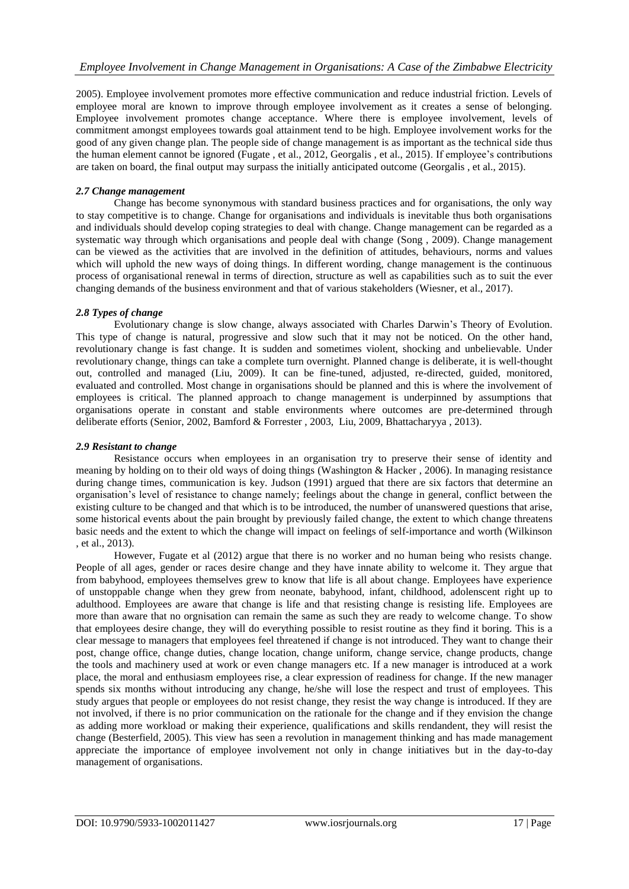2005). Employee involvement promotes more effective communication and reduce industrial friction. Levels of employee moral are known to improve through employee involvement as it creates a sense of belonging. Employee involvement promotes change acceptance. Where there is employee involvement, levels of commitment amongst employees towards goal attainment tend to be high. Employee involvement works for the good of any given change plan. The people side of change management is as important as the technical side thus the human element cannot be ignored (Fugate, et al., 2012, Georgalis, et al., 2015). If employee's contributions are taken on board, the final output may surpass the initially anticipated outcome (Georgalis , et al., 2015).

## *2.7 Change management*

Change has become synonymous with standard business practices and for organisations, the only way to stay competitive is to change. Change for organisations and individuals is inevitable thus both organisations and individuals should develop coping strategies to deal with change. Change management can be regarded as a systematic way through which organisations and people deal with change (Song , 2009). Change management can be viewed as the activities that are involved in the definition of attitudes, behaviours, norms and values which will uphold the new ways of doing things. In different wording, change management is the continuous process of organisational renewal in terms of direction, structure as well as capabilities such as to suit the ever changing demands of the business environment and that of various stakeholders (Wiesner, et al., 2017).

## *2.8 Types of change*

Evolutionary change is slow change, always associated with Charles Darwin"s Theory of Evolution. This type of change is natural, progressive and slow such that it may not be noticed. On the other hand, revolutionary change is fast change. It is sudden and sometimes violent, shocking and unbelievable. Under revolutionary change, things can take a complete turn overnight. Planned change is deliberate, it is well-thought out, controlled and managed (Liu, 2009). It can be fine-tuned, adjusted, re-directed, guided, monitored, evaluated and controlled. Most change in organisations should be planned and this is where the involvement of employees is critical. The planned approach to change management is underpinned by assumptions that organisations operate in constant and stable environments where outcomes are pre-determined through deliberate efforts (Senior, 2002, Bamford & Forrester , 2003, Liu, 2009, Bhattacharyya , 2013).

## *2.9 Resistant to change*

Resistance occurs when employees in an organisation try to preserve their sense of identity and meaning by holding on to their old ways of doing things (Washington & Hacker , 2006). In managing resistance during change times, communication is key. Judson (1991) argued that there are six factors that determine an organisation"s level of resistance to change namely; feelings about the change in general, conflict between the existing culture to be changed and that which is to be introduced, the number of unanswered questions that arise, some historical events about the pain brought by previously failed change, the extent to which change threatens basic needs and the extent to which the change will impact on feelings of self-importance and worth (Wilkinson , et al., 2013).

However, Fugate et al (2012) argue that there is no worker and no human being who resists change. People of all ages, gender or races desire change and they have innate ability to welcome it. They argue that from babyhood, employees themselves grew to know that life is all about change. Employees have experience of unstoppable change when they grew from neonate, babyhood, infant, childhood, adolenscent right up to adulthood. Employees are aware that change is life and that resisting change is resisting life. Employees are more than aware that no orgnisation can remain the same as such they are ready to welcome change. To show that employees desire change, they will do everything possible to resist routine as they find it boring. This is a clear message to managers that employees feel threatened if change is not introduced. They want to change their post, change office, change duties, change location, change uniform, change service, change products, change the tools and machinery used at work or even change managers etc. If a new manager is introduced at a work place, the moral and enthusiasm employees rise, a clear expression of readiness for change. If the new manager spends six months without introducing any change, he/she will lose the respect and trust of employees. This study argues that people or employees do not resist change, they resist the way change is introduced. If they are not involved, if there is no prior communication on the rationale for the change and if they envision the change as adding more workload or making their experience, qualifications and skills rendandent, they will resist the change (Besterfield, 2005). This view has seen a revolution in management thinking and has made management appreciate the importance of employee involvement not only in change initiatives but in the day-to-day management of organisations.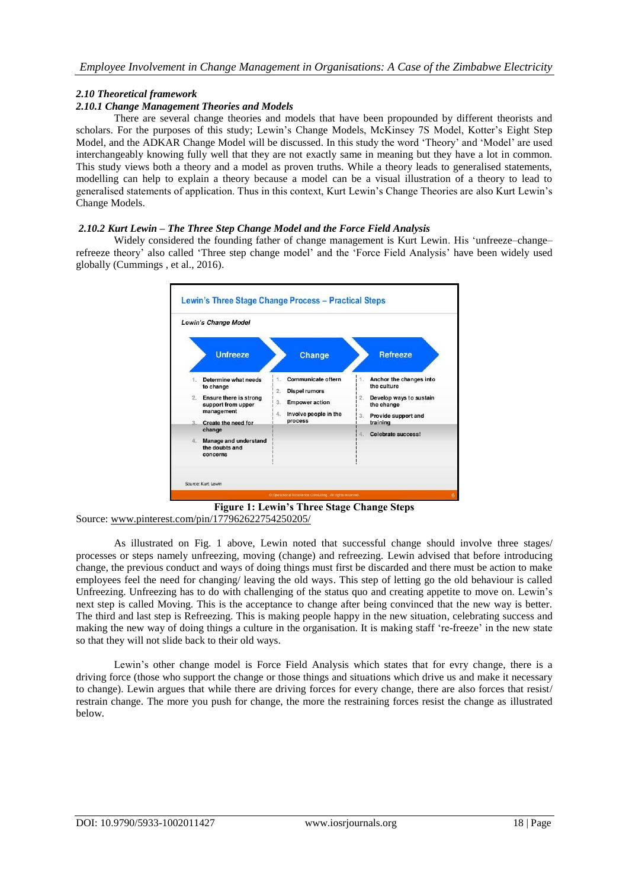# *2.10 Theoretical framework*

## *2.10.1 Change Management Theories and Models*

There are several change theories and models that have been propounded by different theorists and scholars. For the purposes of this study; Lewin's Change Models, McKinsey 7S Model, Kotter's Eight Step Model, and the ADKAR Change Model will be discussed. In this study the word "Theory" and "Model" are used interchangeably knowing fully well that they are not exactly same in meaning but they have a lot in common. This study views both a theory and a model as proven truths. While a theory leads to generalised statements, modelling can help to explain a theory because a model can be a visual illustration of a theory to lead to generalised statements of application. Thus in this context, Kurt Lewin"s Change Theories are also Kurt Lewin"s Change Models.

## *2.10.2 Kurt Lewin – The Three Step Change Model and the Force Field Analysis*

Widely considered the founding father of change management is Kurt Lewin. His 'unfreeze-changerefreeze theory" also called "Three step change model" and the "Force Field Analysis" have been widely used globally (Cummings , et al., 2016).



**Figure 1: Lewin's Three Stage Change Steps** Source: [www.pinterest.com/pin/177962622754250205/](http://www.pinterest.com/pin/177962622754250205/)

As illustrated on Fig. 1 above, Lewin noted that successful change should involve three stages/ processes or steps namely unfreezing, moving (change) and refreezing. Lewin advised that before introducing change, the previous conduct and ways of doing things must first be discarded and there must be action to make employees feel the need for changing/ leaving the old ways. This step of letting go the old behaviour is called Unfreezing. Unfreezing has to do with challenging of the status quo and creating appetite to move on. Lewin"s next step is called Moving. This is the acceptance to change after being convinced that the new way is better. The third and last step is Refreezing. This is making people happy in the new situation, celebrating success and making the new way of doing things a culture in the organisation. It is making staff 're-freeze' in the new state so that they will not slide back to their old ways.

Lewin"s other change model is Force Field Analysis which states that for evry change, there is a driving force (those who support the change or those things and situations which drive us and make it necessary to change). Lewin argues that while there are driving forces for every change, there are also forces that resist/ restrain change. The more you push for change, the more the restraining forces resist the change as illustrated below.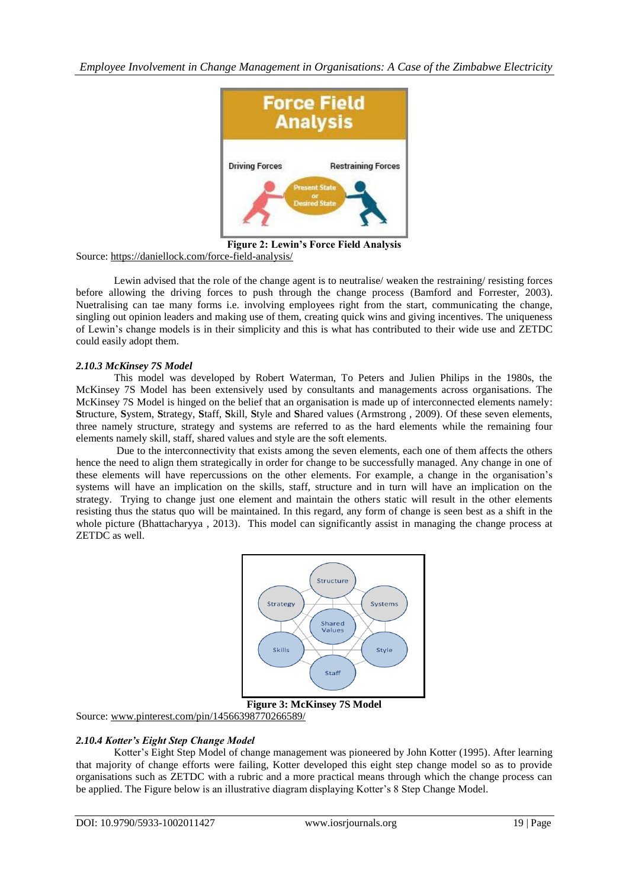*Employee Involvement in Change Management in Organisations: A Case of the Zimbabwe Electricity* 



**Figure 2: Lewin's Force Field Analysis** Source:<https://daniellock.com/force-field-analysis/>

Lewin advised that the role of the change agent is to neutralise/ weaken the restraining/ resisting forces before allowing the driving forces to push through the change process (Bamford and Forrester, 2003). Nuetralising can tae many forms i.e. involving employees right from the start, communicating the change, singling out opinion leaders and making use of them, creating quick wins and giving incentives. The uniqueness of Lewin"s change models is in their simplicity and this is what has contributed to their wide use and ZETDC could easily adopt them.

## *2.10.3 McKinsey 7S Model*

This model was developed by Robert Waterman, To Peters and Julien Philips in the 1980s, the McKinsey 7S Model has been extensively used by consultants and managements across organisations. The McKinsey 7S Model is hinged on the belief that an organisation is made up of interconnected elements namely: **S**tructure, **S**ystem, **S**trategy, **S**taff, **S**kill, **S**tyle and **S**hared values (Armstrong , 2009). Of these seven elements, three namely structure, strategy and systems are referred to as the hard elements while the remaining four elements namely skill, staff, shared values and style are the soft elements.

Due to the interconnectivity that exists among the seven elements, each one of them affects the others hence the need to align them strategically in order for change to be successfully managed. Any change in one of these elements will have repercussions on the other elements. For example, a change in the organisation"s systems will have an implication on the skills, staff, structure and in turn will have an implication on the strategy. Trying to change just one element and maintain the others static will result in the other elements resisting thus the status quo will be maintained. In this regard, any form of change is seen best as a shift in the whole picture (Bhattacharyya, 2013). This model can significantly assist in managing the change process at ZETDC as well.



Source: [www.pinterest.com/pin/14566398770266589/](http://www.pinterest.com/pin/14566398770266589/)

#### *2.10.4 Kotter's Eight Step Change Model*

Kotter"s Eight Step Model of change management was pioneered by John Kotter (1995). After learning that majority of change efforts were failing, Kotter developed this eight step change model so as to provide organisations such as ZETDC with a rubric and a more practical means through which the change process can be applied. The Figure below is an illustrative diagram displaying Kotter's 8 Step Change Model.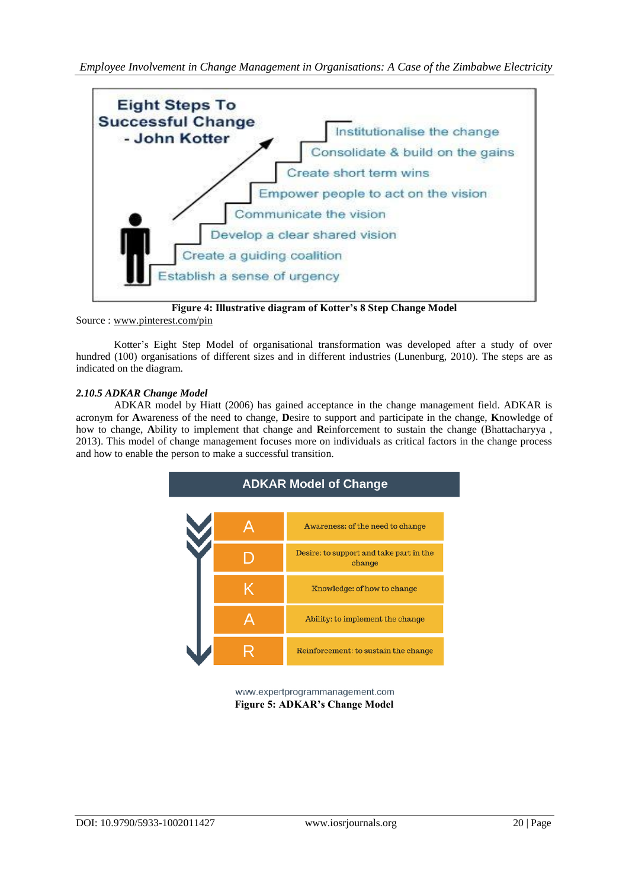

**Figure 4: Illustrative diagram of Kotter's 8 Step Change Model**

Source : [www.pinterest.com/pin](http://www.pinterest.com/pin)

Kotter"s Eight Step Model of organisational transformation was developed after a study of over hundred (100) organisations of different sizes and in different industries (Lunenburg, 2010). The steps are as indicated on the diagram.

## *2.10.5 ADKAR Change Model*

ADKAR model by Hiatt (2006) has gained acceptance in the change management field. ADKAR is acronym for **A**wareness of the need to change, **D**esire to support and participate in the change, **K**nowledge of how to change, **A**bility to implement that change and **R**einforcement to sustain the change (Bhattacharyya , 2013). This model of change management focuses more on individuals as critical factors in the change process and how to enable the person to make a successful transition.



www.expertprogrammanagement.com **Figure 5: ADKAR's Change Model**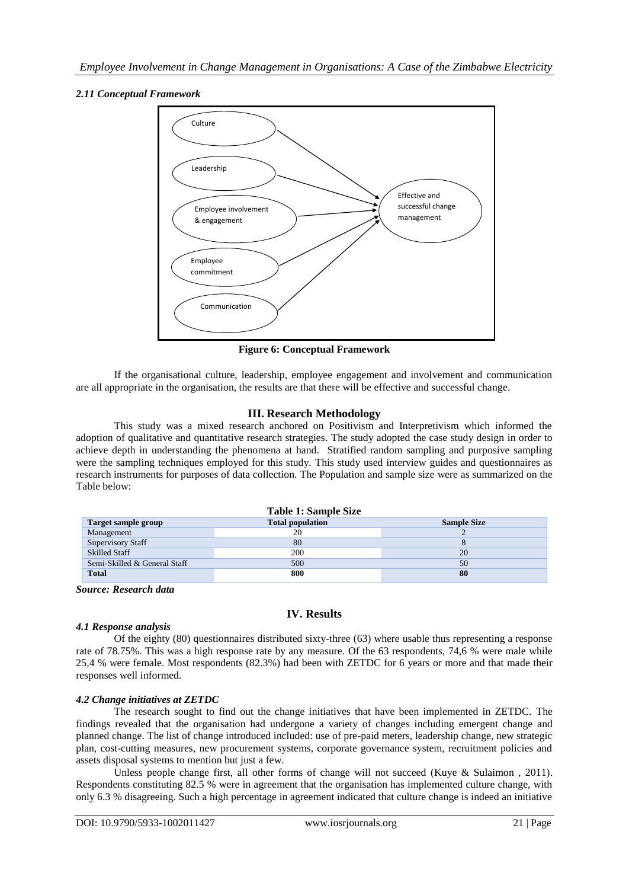# *2.11 Conceptual Framework*



**Figure 6: Conceptual Framework**

If the organisational culture, leadership, employee engagement and involvement and communication are all appropriate in the organisation, the results are that there will be effective and successful change.

# **III. Research Methodology**

This study was a mixed research anchored on Positivism and Interpretivism which informed the adoption of qualitative and quantitative research strategies. The study adopted the case study design in order to achieve depth in understanding the phenomena at hand. Stratified random sampling and purposive sampling were the sampling techniques employed for this study. This study used interview guides and questionnaires as research instruments for purposes of data collection. The Population and sample size were as summarized on the Table below:

|                              | Table 1: Sample Size    |                    |
|------------------------------|-------------------------|--------------------|
| Target sample group          | <b>Total population</b> | <b>Sample Size</b> |
| Management                   | 20                      |                    |
| <b>Supervisory Staff</b>     | 80                      |                    |
| <b>Skilled Staff</b>         | 200                     | 20                 |
| Semi-Skilled & General Staff | 500                     | 50                 |
| <b>Total</b>                 | 800                     | 80                 |

*Source: Research data*

# **IV. Results**

## *4.1 Response analysis*

Of the eighty (80) questionnaires distributed sixty-three (63) where usable thus representing a response rate of 78.75%. This was a high response rate by any measure. Of the 63 respondents, 74,6 % were male while 25,4 % were female. Most respondents (82.3%) had been with ZETDC for 6 years or more and that made their responses well informed.

## *4.2 Change initiatives at ZETDC*

The research sought to find out the change initiatives that have been implemented in ZETDC. The findings revealed that the organisation had undergone a variety of changes including emergent change and planned change. The list of change introduced included: use of pre-paid meters, leadership change, new strategic plan, cost-cutting measures, new procurement systems, corporate governance system, recruitment policies and assets disposal systems to mention but just a few.

Unless people change first, all other forms of change will not succeed (Kuye & Sulaimon, 2011). Respondents constituting 82.5 % were in agreement that the organisation has implemented culture change, with only 6.3 % disagreeing. Such a high percentage in agreement indicated that culture change is indeed an initiative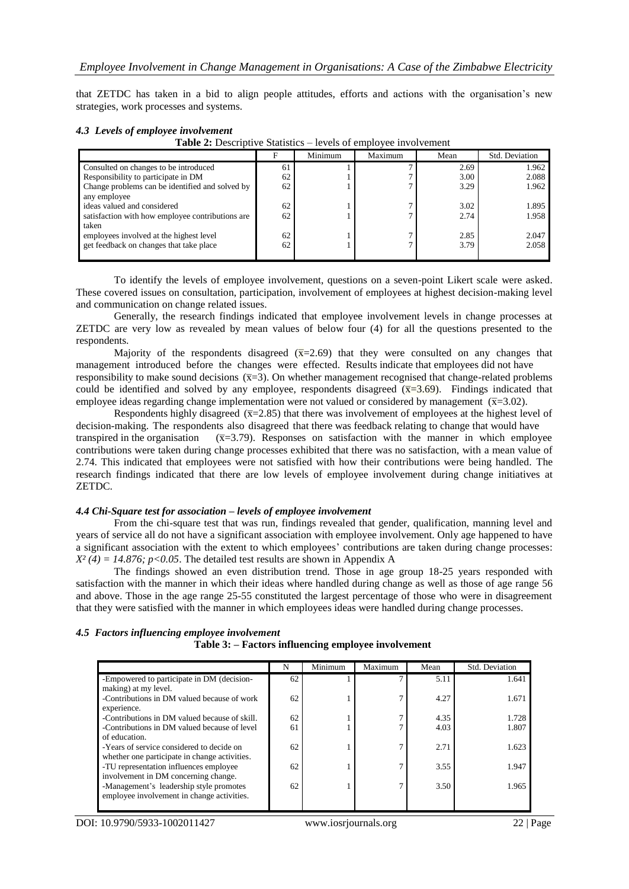that ZETDC has taken in a bid to align people attitudes, efforts and actions with the organisation"s new strategies, work processes and systems.

#### *4.3 Levels of employee involvement*

**Table 2:** Descriptive Statistics – levels of employee involvement

|                                                  |    | Minimum | Maximum | Mean | Std. Deviation |
|--------------------------------------------------|----|---------|---------|------|----------------|
| Consulted on changes to be introduced            | 61 |         |         | 2.69 | 1.962          |
| Responsibility to participate in DM              | 62 |         |         | 3.00 | 2.088          |
| Change problems can be identified and solved by  | 62 |         |         | 3.29 | 1.962          |
| any employee                                     |    |         |         |      |                |
| ideas valued and considered                      | 62 |         |         | 3.02 | 1.895          |
| satisfaction with how employee contributions are | 62 |         |         | 2.74 | 1.958          |
| taken                                            |    |         |         |      |                |
| employees involved at the highest level          | 62 |         |         | 2.85 | 2.047          |
| get feedback on changes that take place          | 62 |         |         | 3.79 | 2.058          |
|                                                  |    |         |         |      |                |

To identify the levels of employee involvement, questions on a seven-point Likert scale were asked. These covered issues on consultation, participation, involvement of employees at highest decision-making level and communication on change related issues.

Generally, the research findings indicated that employee involvement levels in change processes at ZETDC are very low as revealed by mean values of below four (4) for all the questions presented to the respondents.

Majority of the respondents disagreed  $(\overline{x}=2.69)$  that they were consulted on any changes that management introduced before the changes were effected. Results indicate that employees did not have responsibility to make sound decisions  $(\bar{x}=3)$ . On whether management recognised that change-related problems could be identified and solved by any employee, respondents disagreed  $(\overline{x}=3.69)$ . Findings indicated that employee ideas regarding change implementation were not valued or considered by management  $(\overline{x}=3.02)$ .

Respondents highly disagreed  $(\overline{x}=2.85)$  that there was involvement of employees at the highest level of decision-making. The respondents also disagreed that there was feedback relating to change that would have transpired in the organisation  $(\bar{x}=3.79)$ . Responses on satisfaction with the manner in which employee contributions were taken during change processes exhibited that there was no satisfaction, with a mean value of 2.74. This indicated that employees were not satisfied with how their contributions were being handled. The research findings indicated that there are low levels of employee involvement during change initiatives at ZETDC.

#### *4.4 Chi-Square test for association – levels of employee involvement*

From the chi-square test that was run, findings revealed that gender, qualification, manning level and years of service all do not have a significant association with employee involvement. Only age happened to have a significant association with the extent to which employees' contributions are taken during change processes:  $X^2(4) = 14.876$ ;  $p < 0.05$ . The detailed test results are shown in Appendix A

The findings showed an even distribution trend. Those in age group 18-25 years responded with satisfaction with the manner in which their ideas where handled during change as well as those of age range 56 and above. Those in the age range 25-55 constituted the largest percentage of those who were in disagreement that they were satisfied with the manner in which employees ideas were handled during change processes.

|                                                                                            | N  | Minimum | Maximum        | Mean | Std. Deviation |
|--------------------------------------------------------------------------------------------|----|---------|----------------|------|----------------|
| -Empowered to participate in DM (decision-<br>making) at my level.                         | 62 |         |                | 5.11 | 1.641          |
| -Contributions in DM valued because of work<br>experience.                                 | 62 |         | $\overline{ }$ | 4.27 | 1.671          |
| -Contributions in DM valued because of skill.                                              | 62 |         | 7              | 4.35 | 1.728          |
| -Contributions in DM valued because of level<br>of education.                              | 61 |         | $\mathbf{r}$   | 4.03 | 1.807          |
| -Years of service considered to decide on<br>whether one participate in change activities. | 62 |         | 7              | 2.71 | 1.623          |
| -TU representation influences employee<br>involvement in DM concerning change.             | 62 |         | 7              | 3.55 | 1.947          |
| -Management's leadership style promotes<br>employee involvement in change activities.      | 62 |         | 7              | 3.50 | 1.965          |

#### *4.5 Factors influencing employee involvement* **Table 3: – Factors influencing employee involvement**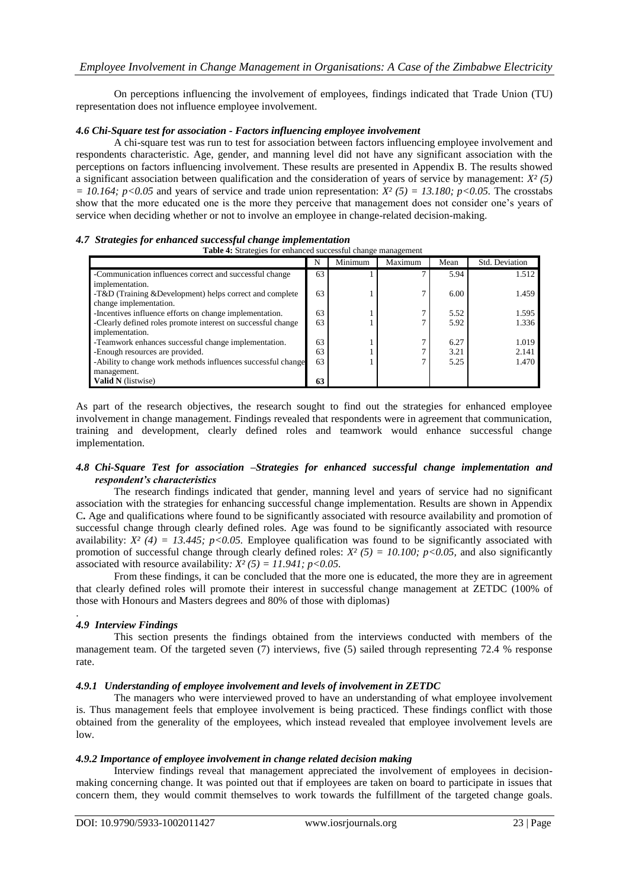On perceptions influencing the involvement of employees, findings indicated that Trade Union (TU) representation does not influence employee involvement.

#### *4.6 Chi-Square test for association - Factors influencing employee involvement*

A chi-square test was run to test for association between factors influencing employee involvement and respondents characteristic. Age, gender, and manning level did not have any significant association with the perceptions on factors influencing involvement. These results are presented in Appendix B. The results showed a significant association between qualification and the consideration of years of service by management: *X² (5)*   $= 10.164$ ; *p*<0.05 and years of service and trade union representation: *X<sup>2</sup>* (5) = 13.180; *p*<0.05. The crosstabs show that the more educated one is the more they perceive that management does not consider one"s years of service when deciding whether or not to involve an employee in change-related decision-making.

#### *4.7 Strategies for enhanced successful change implementation*

| <b>Table 4:</b> Strategies for enhanced successful change management |    |         |         |      |                |
|----------------------------------------------------------------------|----|---------|---------|------|----------------|
|                                                                      | N  | Minimum | Maximum | Mean | Std. Deviation |
| -Communication influences correct and successful change              | 63 |         |         | 5.94 | 1.512          |
| implementation.                                                      |    |         |         |      |                |
| -T&D (Training & Development) helps correct and complete             | 63 |         |         | 6.00 | 1.459          |
| change implementation.                                               |    |         |         |      |                |
| -Incentives influence efforts on change implementation.              | 63 |         |         | 5.52 | 1.595          |
| -Clearly defined roles promote interest on successful change         | 63 |         |         | 5.92 | 1.336          |
| implementation.                                                      |    |         |         |      |                |
| -Teamwork enhances successful change implementation.                 | 63 |         |         | 6.27 | 1.019          |
| -Enough resources are provided.                                      | 63 |         |         | 3.21 | 2.141          |
| -Ability to change work methods influences successful change         | 63 |         |         | 5.25 | 1.470          |
| management.                                                          |    |         |         |      |                |
| <b>Valid N</b> (listwise)                                            | 63 |         |         |      |                |

As part of the research objectives, the research sought to find out the strategies for enhanced employee involvement in change management. Findings revealed that respondents were in agreement that communication, training and development, clearly defined roles and teamwork would enhance successful change implementation.

#### *4.8 Chi-Square Test for association –Strategies for enhanced successful change implementation and respondent's characteristics*

The research findings indicated that gender, manning level and years of service had no significant association with the strategies for enhancing successful change implementation. Results are shown in Appendix C**.** Age and qualifications where found to be significantly associated with resource availability and promotion of successful change through clearly defined roles. Age was found to be significantly associated with resource availability:  $X^2$  (4) = 13.445; p<0.05. Employee qualification was found to be significantly associated with promotion of successful change through clearly defined roles:  $X^2$  (5) = 10.100; p<0.05, and also significantly associated with resource availability:  $X^2(5) = 11.941$ ;  $p < 0.05$ .

From these findings, it can be concluded that the more one is educated, the more they are in agreement that clearly defined roles will promote their interest in successful change management at ZETDC (100% of those with Honours and Masters degrees and 80% of those with diplomas)

#### . *4.9 Interview Findings*

This section presents the findings obtained from the interviews conducted with members of the management team. Of the targeted seven (7) interviews, five (5) sailed through representing 72.4 % response rate.

#### *4.9.1 Understanding of employee involvement and levels of involvement in ZETDC*

The managers who were interviewed proved to have an understanding of what employee involvement is. Thus management feels that employee involvement is being practiced. These findings conflict with those obtained from the generality of the employees, which instead revealed that employee involvement levels are low.

#### *4.9.2 Importance of employee involvement in change related decision making*

Interview findings reveal that management appreciated the involvement of employees in decisionmaking concerning change. It was pointed out that if employees are taken on board to participate in issues that concern them, they would commit themselves to work towards the fulfillment of the targeted change goals.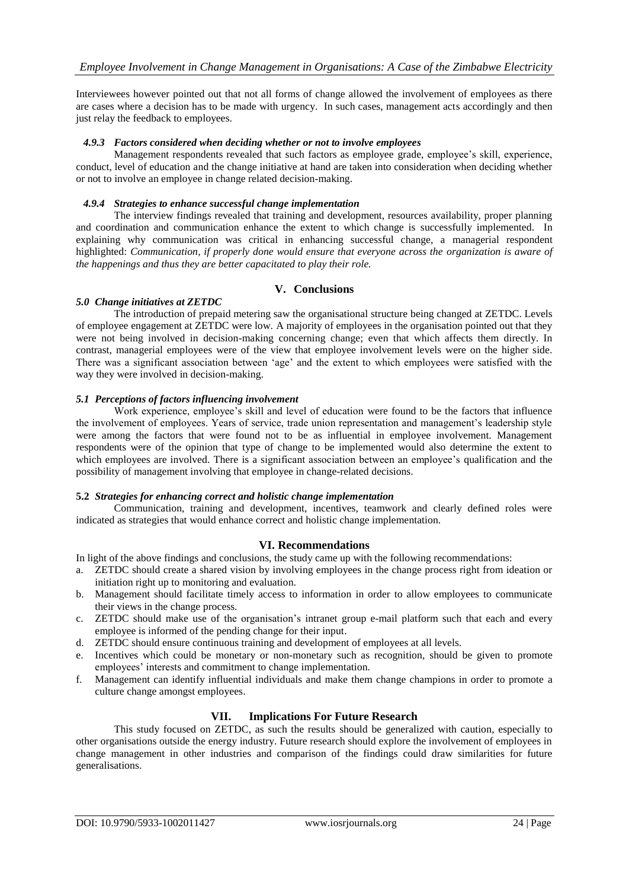Interviewees however pointed out that not all forms of change allowed the involvement of employees as there are cases where a decision has to be made with urgency. In such cases, management acts accordingly and then just relay the feedback to employees.

## *4.9.3 Factors considered when deciding whether or not to involve employees*

Management respondents revealed that such factors as employee grade, employee"s skill, experience, conduct, level of education and the change initiative at hand are taken into consideration when deciding whether or not to involve an employee in change related decision-making.

## *4.9.4 Strategies to enhance successful change implementation*

The interview findings revealed that training and development, resources availability, proper planning and coordination and communication enhance the extent to which change is successfully implemented. In explaining why communication was critical in enhancing successful change, a managerial respondent highlighted: *Communication, if properly done would ensure that everyone across the organization is aware of the happenings and thus they are better capacitated to play their role.*

# **V. Conclusions**

## *5.0 Change initiatives at ZETDC*

The introduction of prepaid metering saw the organisational structure being changed at ZETDC. Levels of employee engagement at ZETDC were low. A majority of employees in the organisation pointed out that they were not being involved in decision-making concerning change; even that which affects them directly. In contrast, managerial employees were of the view that employee involvement levels were on the higher side. There was a significant association between "age" and the extent to which employees were satisfied with the way they were involved in decision-making.

## *5.1 Perceptions of factors influencing involvement*

Work experience, employee"s skill and level of education were found to be the factors that influence the involvement of employees. Years of service, trade union representation and management"s leadership style were among the factors that were found not to be as influential in employee involvement. Management respondents were of the opinion that type of change to be implemented would also determine the extent to which employees are involved. There is a significant association between an employee's qualification and the possibility of management involving that employee in change-related decisions.

## **5.2** *Strategies for enhancing correct and holistic change implementation*

Communication, training and development, incentives, teamwork and clearly defined roles were indicated as strategies that would enhance correct and holistic change implementation.

# **VI. Recommendations**

In light of the above findings and conclusions, the study came up with the following recommendations:

- a. ZETDC should create a shared vision by involving employees in the change process right from ideation or initiation right up to monitoring and evaluation.
- b. Management should facilitate timely access to information in order to allow employees to communicate their views in the change process.
- c. ZETDC should make use of the organisation"s intranet group e-mail platform such that each and every employee is informed of the pending change for their input.
- d. ZETDC should ensure continuous training and development of employees at all levels.
- e. Incentives which could be monetary or non-monetary such as recognition, should be given to promote employees" interests and commitment to change implementation.
- f. Management can identify influential individuals and make them change champions in order to promote a culture change amongst employees.

## **VII. Implications For Future Research**

This study focused on ZETDC, as such the results should be generalized with caution, especially to other organisations outside the energy industry. Future research should explore the involvement of employees in change management in other industries and comparison of the findings could draw similarities for future generalisations.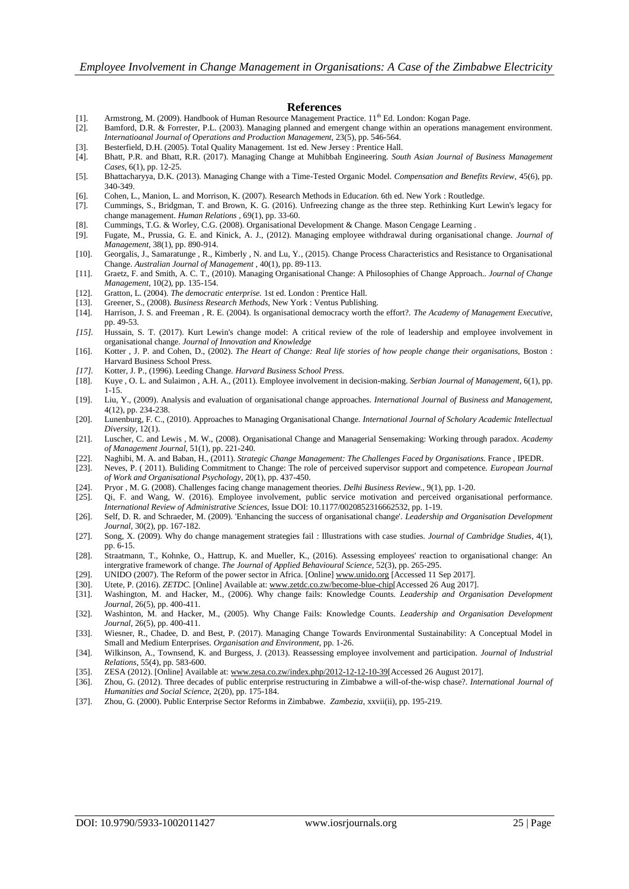#### **References**

- [1]. Armstrong, M. (2009). Handbook of Human Resource Management Practice.  $11^{\text{th}}$  Ed. London: Kogan Page. [2]. Bamford, D.R. & Forrester, P.L. (2003). Managing planned and emergent change within an operations ma
- [2]. Bamford, D.R. & Forrester, P.L. (2003). Managing planned and emergent change within an operations management environment. *Internatioanal Journal of Operations and Production Management,* 23(5), pp. 546-564.
- [3]. Besterfield, D.H. (2005). Total Quality Management*.* 1st ed. New Jersey : Prentice Hall.
- [4]. Bhatt, P.R. and Bhatt, R.R. (2017). Managing Change at Muhibbah Engineering. *South Asian Journal of Business Management Cases,* 6(1), pp. 12-25.
- [5]. Bhattacharyya, D.K. (2013). Managing Change with a Time-Tested Organic Model. *Compensation and Benefits Review,* 45(6), pp. 340-349.
- [6]. Cohen, L., Manion, L. and Morrison, K. (2007). Research Methods in Educa*tion.* 6th ed. New York : Routledge.
- [7]. Cummings, S., Bridgman, T. and Brown, K. G. (2016). Unfreezing change as the three step. Rethinking Kurt Lewin's legacy for change management. *Human Relations ,* 69(1), pp. 33-60.
- [8]. Cummings, T.G. & Worley, C.G. (2008). Organisational Development & Change*.* Mason Cengage Learning .
- [9]. Fugate, M., Prussia, G. E. and Kinick, A. J., (2012). Managing employee withdrawal during organisational change. *Journal of Management,* 38(1), pp. 890-914.
- [10]. Georgalis, J., Samaratunge , R., Kimberly , N. and Lu, Y., (2015). Change Process Characteristics and Resistance to Organisational Change. *Australian Journal of Management ,* 40(1), pp. 89-113.
- [11]. Graetz, F. and Smith, A. C. T., (2010). Managing Organisational Change: A Philosophies of Change Approach.. *Journal of Change Management,* 10(2), pp. 135-154.
- [12]. Gratton, L. (2004). *The democratic enterprise.* 1st ed. London : Prentice Hall. [13]. Greener, S., (2008). *Business Research Methods,* New York : Ventus Publishing.
- [14]. Harrison, J. S. and Freeman , R. E. (2004). Is organisational democracy worth the effort?. *The Academy of Management Executive,*  pp. 49-53.
- *[15].* Hussain, S. T. (2017). Kurt Lewin's change model: A critical review of the role of leadership and employee involvement in organisational change. *Journal of Innovation and Knowledge*
- [16]. Kotter , J. P. and Cohen, D., (2002). *The Heart of Change: Real life stories of how people change their organisations*, Boston : Harvard Business School Press.
- *[17].* Kotter, J. P., (1996). Leeding Change. *Harvard Business School Press.*
- [18]. Kuye , O. L. and Sulaimon , A.H. A., (2011). Employee involvement in decision-making. *Serbian Journal of Management,* 6(1), pp. 1-15.
- [19]. Liu, Y., (2009). Analysis and evaluation of organisational change approaches. *International Journal of Business and Management,*  4(12), pp. 234-238.
- [20]. Lunenburg, F. C., (2010). Approaches to Managing Organisational Change. *International Journal of Scholary Academic Intellectual Diversity,* 12(1).
- [21]. Luscher, C. and Lewis , M. W., (2008). Organisational Change and Managerial Sensemaking: Working through paradox. *Academy of Management Journal,* 51(1), pp. 221-240.
- [22]. Naghibi, M. A. and Baban, H., (2011). *Strategic Change Management: The Challenges Faced by Organisations*. France, IPEDR.
- [23]. Neves, P. ( 2011). Buliding Commitment to Change: The role of perceived supervisor support and competence. *European Journal of Work and Organisational Psychology,* 20(1), pp. 437-450.
- [24]. Pryor , M. G. (2008). Challenges facing change management theories. *Delhi Business Review.,* 9(1), pp. 1-20.
- [25]. Qi, F. and Wang, W. (2016). Employee involvement, public service motivation and perceived organisational performance. *International Review of Administrative Sciences,* Issue DOI: 10.1177/0020852316662532, pp. 1-19.
- [26]. Self, D. R. and Schraeder, M. (2009). 'Enhancing the success of organisational change'. *Leadership and Organisation Development Journal,* 30(2), pp. 167-182.
- [27]. Song, X. (2009). Why do change management strategies fail : Illustrations with case studies. *Journal of Cambridge Studies,* 4(1), pp. 6-15.
- [28]. Straatmann, T., Kohnke, O., Hattrup, K. and Mueller, K., (2016). Assessing employees' reaction to organisational change: An intergrative framework of change. *The Journal of Applied Behavioural Science,* 52(3), pp. 265-295.
- [29]. UNIDO (2007). The Reform of the power sector in Africa*.* [Online[\] www.unido.org](http://www.unido.org/) [Accessed 11 Sep 2017].
- Utete, P. (2016). *ZETDC*. [Online] Available at: www.zetdc.co.zw/become-blue-chip[Accessed 26 Aug 2017].
- [31]. Washington, M. and Hacker, M., (2006). Why change fails: Knowledge Counts. *Leadership and Organisation Development Journal,* 26(5), pp. 400-411.
- [32]. Washinton, M. and Hacker, M., (2005). Why Change Fails: Knowledge Counts. *Leadership and Organisation Development Journal,* 26(5), pp. 400-411.
- [33]. Wiesner, R., Chadee, D. and Best, P. (2017). Managing Change Towards Environmental Sustainability: A Conceptual Model in Small and Medium Enterprises. *Organisation and Environment,* pp. 1-26.
- [34]. Wilkinson, A., Townsend, K. and Burgess, J. (2013). Reassessing employee involvement and participation. *Journal of Industrial Relations,* 55(4), pp. 583-600.
- [35]. ZESA (2012). [Online] Available at: www.zesa.co.zw/index.php/2012-12-12-10-39[Accessed 26 August 2017].
- [36]. Zhou, G. (2012). Three decades of public enterprise restructuring in Zimbabwe a will-of-the-wisp chase?. *International Journal of Humanities and Social Science,* 2(20), pp. 175-184.
- [37]. Zhou, G. (2000). Public Enterprise Sector Reforms in Zimbabwe. *Zambezia,* xxvii(ii), pp. 195-219.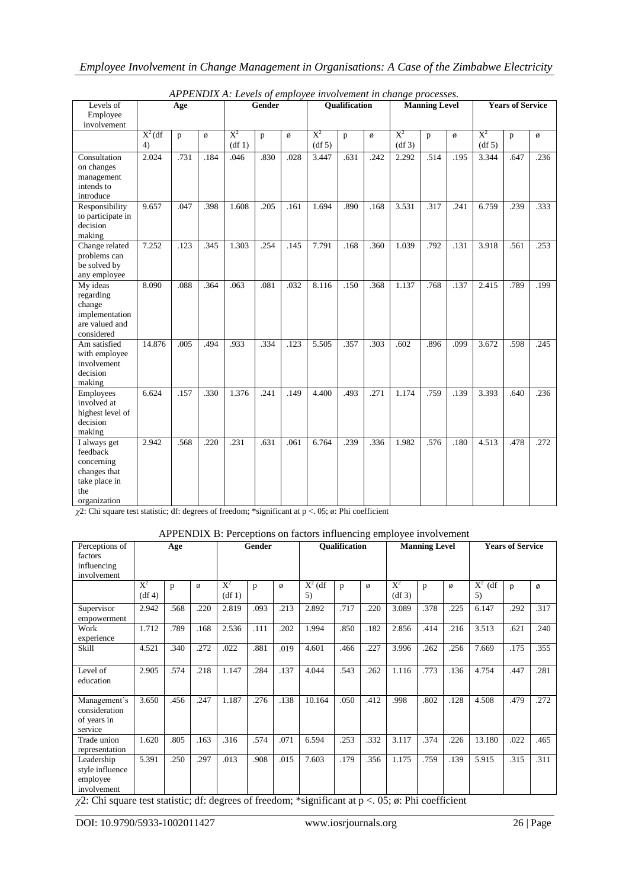| Levels of                                                                                      | Age             |              |      | Gender          |      |      | Qualification   |      |      |                         | <b>Manning Level</b> |      | <b>Years of Service</b> |      |      |
|------------------------------------------------------------------------------------------------|-----------------|--------------|------|-----------------|------|------|-----------------|------|------|-------------------------|----------------------|------|-------------------------|------|------|
| Employee<br>involvement                                                                        |                 |              |      |                 |      |      |                 |      |      |                         |                      |      |                         |      |      |
|                                                                                                | $X^2$ (df<br>4) | $\mathbf{p}$ | Ø    | $X^2$<br>(df 1) | p    | ø    | $X^2$<br>(df 5) | p    | ø    | $\mathrm{X}^2$<br>(df3) | p                    | ø    | $X^2$<br>(df 5)         | p    | ø    |
| Consultation<br>on changes<br>management<br>intends to<br>introduce                            | 2.024           | .731         | .184 | .046            | .830 | .028 | 3.447           | .631 | .242 | 2.292                   | .514                 | .195 | 3.344                   | .647 | .236 |
| Responsibility<br>to participate in<br>decision<br>making                                      | 9.657           | .047         | .398 | 1.608           | .205 | .161 | 1.694           | .890 | .168 | 3.531                   | .317                 | .241 | 6.759                   | .239 | .333 |
| Change related<br>problems can<br>be solved by<br>any employee                                 | 7.252           | .123         | .345 | 1.303           | .254 | .145 | 7.791           | .168 | .360 | 1.039                   | .792                 | .131 | 3.918                   | .561 | .253 |
| My ideas<br>regarding<br>change<br>implementation<br>are valued and<br>considered              | 8.090           | .088         | .364 | .063            | .081 | .032 | 8.116           | .150 | .368 | 1.137                   | .768                 | .137 | 2.415                   | .789 | .199 |
| Am satisfied<br>with employee<br>involvement<br>decision<br>making                             | 14.876          | .005         | .494 | .933            | .334 | .123 | 5.505           | .357 | .303 | .602                    | .896                 | .099 | 3.672                   | .598 | .245 |
| Employees<br>involved at<br>highest level of<br>decision<br>making                             | 6.624           | .157         | .330 | 1.376           | .241 | .149 | 4.400           | .493 | .271 | 1.174                   | .759                 | .139 | 3.393                   | .640 | .236 |
| I always get<br>feedback<br>concerning<br>changes that<br>take place in<br>the<br>organization | 2.942           | .568         | .220 | .231            | .631 | .061 | 6.764           | .239 | .336 | 1.982                   | .576                 | .180 | 4.513                   | .478 | .272 |

| APPENDIX A: Levels of employee involvement in change processes. |  |  |  |
|-----------------------------------------------------------------|--|--|--|
|                                                                 |  |  |  |

*χ*2: Chi square test statistic; df: degrees of freedom; \*significant at p <. 05; ø: Phi coefficient

## APPENDIX B: Perceptions on factors influencing employee involvement

| Perceptions of<br>factors<br>influencing<br>involvement  |                 | Age  |      |                 | <b>Gender</b> |      |                 | <b>Oualification</b> |      |                 | <b>Manning Level</b> |      |                 | <b>Years of Service</b> |      |  |
|----------------------------------------------------------|-----------------|------|------|-----------------|---------------|------|-----------------|----------------------|------|-----------------|----------------------|------|-----------------|-------------------------|------|--|
|                                                          | $X^2$<br>(df 4) | p    | ø    | $X^2$<br>(df 1) | p             | ø    | $X^2$ (df<br>5) | p                    | Ø    | $X^2$<br>(df 3) | p                    | Ø    | $X^2$ (df<br>5) | p                       | Ø    |  |
| Supervisor<br>empowerment                                | 2.942           | .568 | .220 | 2.819           | .093          | .213 | 2.892           | .717                 | .220 | 3.089           | .378                 | .225 | 6.147           | .292                    | .317 |  |
| Work<br>experience                                       | 1.712           | .789 | .168 | 2.536           | .111          | .202 | 1.994           | .850                 | .182 | 2.856           | .414                 | .216 | 3.513           | .621                    | .240 |  |
| Skill                                                    | 4.521           | .340 | .272 | .022            | .881          | .019 | 4.601           | .466                 | .227 | 3.996           | .262                 | .256 | 7.669           | .175                    | .355 |  |
| Level of<br>education                                    | 2.905           | .574 | .218 | 1.147           | .284          | .137 | 4.044           | .543                 | .262 | 1.116           | .773                 | .136 | 4.754           | .447                    | .281 |  |
| Management's<br>consideration<br>of years in<br>service  | 3.650           | .456 | .247 | 1.187           | .276          | .138 | 10.164          | .050                 | .412 | .998            | .802                 | .128 | 4.508           | .479                    | .272 |  |
| Trade union<br>representation                            | 1.620           | .805 | .163 | .316            | .574          | .071 | 6.594           | .253                 | .332 | 3.117           | .374                 | .226 | 13.180          | .022                    | .465 |  |
| Leadership<br>style influence<br>employee<br>involvement | 5.391           | .250 | .297 | .013            | .908          | .015 | 7.603           | .179                 | .356 | 1.175           | .759                 | .139 | 5.915           | .315                    | .311 |  |

*χ*2: Chi square test statistic; df: degrees of freedom; \*significant at p <. 05; ø: Phi coefficient